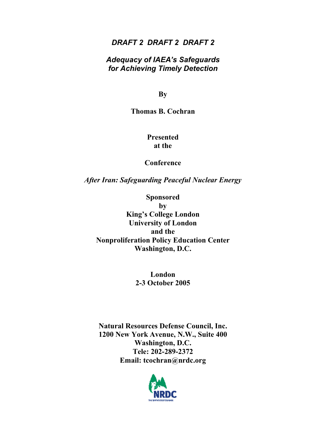# *DRAFT 2 DRAFT 2 DRAFT 2*

# *Adequacy of IAEA's Safeguards for Achieving Timely Detection*

**By**

**Thomas B. Cochran**

**Presented at the**

**Conference**

*After Iran: Safeguarding Peaceful Nuclear Energy*

**Sponsored by King's College London University of London and the Nonproliferation Policy Education Center Washington, D.C.**

> **London 2-3 October 2005**

**Natural Resources Defense Council, Inc. 1200 New York Avenue, N.W., Suite 400 Washington, D.C. Tele: 202-289-2372 Email: tcochran@nrdc.org**

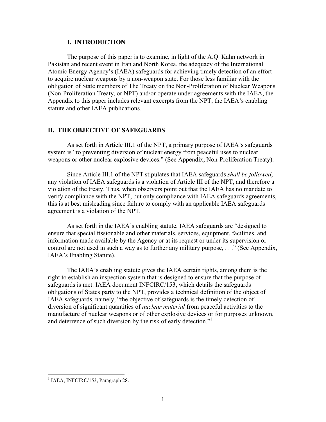#### **I. INTRODUCTION**

The purpose of this paper is to examine, in light of the A.Q. Kahn network in Pakistan and recent event in Iran and North Korea, the adequacy of the International Atomic Energy Agency's (IAEA) safeguards for achieving timely detection of an effort to acquire nuclear weapons by a non-weapon state. For those less familiar with the obligation of State members of The Treaty on the Non-Proliferation of Nuclear Weapons (Non-Proliferation Treaty, or NPT) and/or operate under agreements with the IAEA, the Appendix to this paper includes relevant excerpts from the NPT, the IAEA's enabling statute and other IAEA publications.

#### **II. THE OBJECTIVE OF SAFEGUARDS**

As set forth in Article III.1 of the NPT, a primary purpose of IAEA's safeguards system is "to preventing diversion of nuclear energy from peaceful uses to nuclear weapons or other nuclear explosive devices." (See Appendix, Non-Proliferation Treaty).

Since Article III.1 of the NPT stipulates that IAEA safeguards *shall be followed*, any violation of IAEA safeguards is a violation of Article III of the NPT, and therefore a violation of the treaty. Thus, when observers point out that the IAEA has no mandate to verify compliance with the NPT, but only compliance with IAEA safeguards agreements, this is at best misleading since failure to comply with an applicable IAEA safeguards agreement is a violation of the NPT.

As set forth in the IAEA's enabling statute, IAEA safeguards are "designed to ensure that special fissionable and other materials, services, equipment, facilities, and information made available by the Agency or at its request or under its supervision or control are not used in such a way as to further any military purpose, . . ." (See Appendix, IAEA's Enabling Statute).

The IAEA's enabling statute gives the IAEA certain rights, among them is the right to establish an inspection system that is designed to ensure that the purpose of safeguards is met. IAEA document INFCIRC/153, which details the safeguards obligations of States party to the NPT, provides a technical definition of the object of IAEA safeguards, namely, "the objective of safeguards is the timely detection of diversion of significant quantities of *nuclear material* from peaceful activities to the manufacture of nuclear weapons or of other explosive devices or for purposes unknown, and deterrence of such diversion by the risk of early detection."<sup>1</sup>

<sup>&</sup>lt;sup>1</sup> IAEA, INFCIRC/153, Paragraph 28.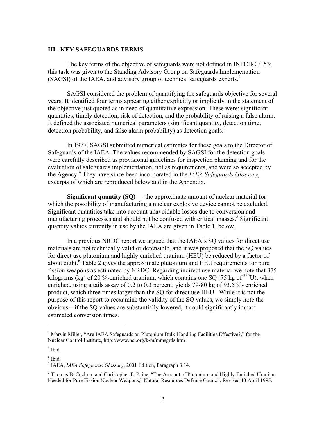#### **III. KEY SAFEGUARDS TERMS**

The key terms of the objective of safeguards were not defined in INFCIRC/153; this task was given to the Standing Advisory Group on Safeguards Implementation (SAGSI) of the IAEA, and advisory group of technical safeguards experts.<sup>2</sup>

SAGSI considered the problem of quantifying the safeguards objective for several years. It identified four terms appearing either explicitly or implicitly in the statement of the objective just quoted as in need of quantitative expression. These were: significant quantities, timely detection, risk of detection, and the probability of raising a false alarm. It defined the associated numerical parameters (significant quantity, detection time, detection probability, and false alarm probability) as detection goals.<sup>3</sup>

In 1977, SAGSI submitted numerical estimates for these goals to the Director of Safeguards of the IAEA. The values recommended by SAGSI for the detection goals were carefully described as provisional guidelines for inspection planning and for the evaluation of safeguards implementation, not as requirements, and were so accepted by the Agency.4 They have since been incorporated in the *IAEA Safeguards Glossary*, excerpts of which are reproduced below and in the Appendix.

**Significant quantity (SQ)** — the approximate amount of nuclear material for which the possibility of manufacturing a nuclear explosive device cannot be excluded. Significant quantities take into account unavoidable losses due to conversion and manufacturing processes and should not be confused with critical masses.<sup>5</sup> Significant quantity values currently in use by the IAEA are given in Table 1, below.

In a previous NRDC report we argued that the IAEA's SQ values for direct use materials are not technically valid or defensible, and it was proposed that the SQ values for direct use plutonium and highly enriched uranium (HEU) be reduced by a factor of about eight. $6$  Table 2 gives the approximate plutonium and HEU requirements for pure fission weapons as estimated by NRDC. Regarding indirect use material we note that 375 kilograms (kg) of 20 %-enriched uranium, which contains one SQ (75 kg of  $^{235}$ U), when enriched, using a tails assay of 0.2 to 0.3 percent, yields 79-80 kg of 93.5 %- enriched product, which three times larger than the SQ for direct use HEU. While it is not the purpose of this report to reexamine the validity of the SQ values, we simply note the obvious-if the SQ values are substantially lowered, it could significantly impact estimated conversion times.

 $2$  Marvin Miller, "Are IAEA Safeguards on Plutonium Bulk-Handling Facilities Effective?," for the Nuclear Control Institute, http://www.nci.org/k-m/mmsgrds.htm

 $3$  Ibid.

<sup>4</sup> Ibid.

<sup>5</sup> IAEA, *IAEA Safeguards Glossary*, 2001 Edition, Paragraph 3.14.

<sup>&</sup>lt;sup>6</sup> Thomas B. Cochran and Christopher E. Paine, "The Amount of Plutonium and Highly-Enriched Uranium Needed for Pure Fission Nuclear Weapons," Natural Resources Defense Council, Revised 13 April 1995.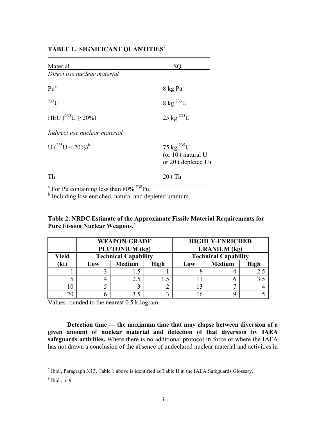| Material<br>Direct use nuclear material | SC                                                               |
|-----------------------------------------|------------------------------------------------------------------|
| Pu <sup>a</sup>                         | 8 kg Pu                                                          |
| $233$ U                                 | $8 \text{ kg}^{233} \text{U}$                                    |
| HEU $(^{235}U \ge 20\%)$                | $25 \text{ kg}^{235} \text{U}$                                   |
| Indirect use nuclear material           |                                                                  |
| U $(^{235}$ U $<$ 20%) <sup>b</sup>     | 75 kg $^{235}$ U<br>(or 10 t natural U<br>or 20 t depleted $U$ ) |
| Th                                      | $20$ t Th                                                        |

**\_\_\_\_\_\_\_\_\_\_\_\_\_\_\_\_\_\_\_\_\_\_\_\_\_\_\_\_\_\_\_\_\_\_\_\_\_\_\_\_\_\_\_\_\_\_\_\_\_\_\_\_\_\_\_\_\_\_\_\_\_\_\_\_\_\_\_\_\_\_\_\_\_\_\_\_**

# **TABLE 1. SIGNIFICANT QUANTITIES**<sup>7</sup>

<sup>a</sup> For Pu containing less than  $80\%$ <sup>238</sup>Pu.

<sup>b</sup> Including low enriched, natural and depleted uranium.

|                                                   | Table 2. NRDC Estimate of the Approximate Fissile Material Requirements for |
|---------------------------------------------------|-----------------------------------------------------------------------------|
| <b>Pure Fission Nuclear Weapons.</b> <sup>8</sup> |                                                                             |

|       |     | <b>WEAPON-GRADE</b><br>PLUTONIUM (kg) |             |                   | <b>HIGHLY-ENRICHED</b><br><b>URANIUM</b> (kg) |             |
|-------|-----|---------------------------------------|-------------|-------------------|-----------------------------------------------|-------------|
| Yield |     | <b>Technical Capability</b>           |             |                   | <b>Technical Capability</b>                   |             |
| kt)   | Low | <b>Medium</b>                         | <b>High</b> | Low               | <b>Medium</b>                                 | <b>High</b> |
|       |     | 1.5                                   |             |                   |                                               | 2.:         |
|       |     | 2.5                                   |             |                   |                                               | 3.1         |
| l O   |     |                                       |             | $\overline{3}$    |                                               |             |
| 20    |     |                                       |             | $\mathsf{\Omega}$ |                                               |             |

Values rounded to the nearest 0.5 kilogram.

**Detection time — the maximum time that may elapse between diversion of a given amount of nuclear material and detection of that diversion by IAEA safeguards activities.** Where there is no additional protocol in force or where the IAEA has not drawn a conclusion of the absence of undeclared nuclear material and activities in

 $^7$  Ibid., Paragraph 3.13. Table 1 above is identified as Table II in the IAEA Safeguards Glossary.

<sup>8</sup> Ibid., p. 9.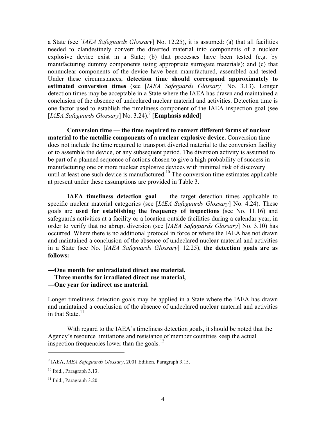a State (see [*IAEA Safeguards Glossary*] No. 12.25), it is assumed: (a) that all facilities needed to clandestinely convert the diverted material into components of a nuclear explosive device exist in a State; (b) that processes have been tested (e.g. by manufacturing dummy components using appropriate surrogate materials); and (c) that nonnuclear components of the device have been manufactured, assembled and tested. Under these circumstances, **detection time should correspond approximately to estimated conversion times** (see [*IAEA Safeguards Glossary*] No. 3.13). Longer detection times may be acceptable in a State where the IAEA has drawn and maintained a conclusion of the absence of undeclared nuclear material and activities. Detection time is one factor used to establish the timeliness component of the IAEA inspection goal (see [IAEA Safeguards Glossary] No. 3.24).<sup>9</sup> [**Emphasis added**]

**Conversion time — the time required to convert different forms of nuclear material to the metallic components of a nuclear explosive device.** Conversion time does not include the time required to transport diverted material to the conversion facility or to assemble the device, or any subsequent period. The diversion activity is assumed to be part of a planned sequence of actions chosen to give a high probability of success in manufacturing one or more nuclear explosive devices with minimal risk of discovery until at least one such device is manufactured.<sup>10</sup> The conversion time estimates applicable at present under these assumptions are provided in Table 3.

**IAEA timeliness detection goal** — the target detection times applicable to specific nuclear material categories (see [*IAEA Safeguards Glossary*] No. 4.24). These goals are **used for establishing the frequency of inspections** (see No. 11.16) and safeguards activities at a facility or a location outside facilities during a calendar year, in order to verify that no abrupt diversion (see [*IAEA Safeguards Glossary*] No. 3.10) has occurred. Where there is no additional protocol in force or where the IAEA has not drawn and maintained a conclusion of the absence of undeclared nuclear material and activities in a State (see No. [*IAEA Safeguards Glossary*] 12.25), **the detection goals are as follows:**

**—One month for unirradiated direct use material, —Three months for irradiated direct use material, —One year for indirect use material.**

Longer timeliness detection goals may be applied in a State where the IAEA has drawn and maintained a conclusion of the absence of undeclared nuclear material and activities in that State. $11$ 

With regard to the IAEA's timeliness detection goals, it should be noted that the Agency's resource limitations and resistance of member countries keep the actual inspection frequencies lower than the goals. $^{12}$ 

<sup>9</sup> IAEA, *IAEA Safeguards Glossary*, 2001 Edition, Paragraph 3.15.

 $10$  Ibid., Paragraph 3.13.

 $11$  Ibid., Paragraph 3.20.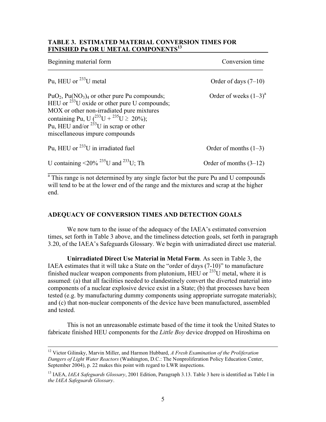#### **TABLE 3. ESTIMATED MATERIAL CONVERSION TIMES FOR** FINISHED Pu OR U METAL COMPONENTS<sup>13</sup>

| Beginning material form                                                                                                                                                                                                                                                                       | Conversion time          |
|-----------------------------------------------------------------------------------------------------------------------------------------------------------------------------------------------------------------------------------------------------------------------------------------------|--------------------------|
| Pu, HEU or $^{233}$ U metal                                                                                                                                                                                                                                                                   | Order of days $(7-10)$   |
| $PuO2$ , $Pu(NO3)4$ or other pure Pu compounds;<br>HEU or $^{233}$ U oxide or other pure U compounds;<br>MOX or other non-irradiated pure mixtures<br>containing Pu, U $(^{233}$ U + $^{235}$ U $\geq$ 20%);<br>Pu, HEU and/or $^{233}$ U in scrap or other<br>miscellaneous impure compounds | Order of weeks $(1-3)^a$ |
| Pu, HEU or $^{233}$ U in irradiated fuel                                                                                                                                                                                                                                                      | Order of months $(1-3)$  |
| U containing $\langle 20\% \rangle^{235}$ U and $^{233}$ U; Th                                                                                                                                                                                                                                | Order of months $(3-12)$ |

<sup>a</sup> This range is not determined by any single factor but the pure Pu and U compounds will tend to be at the lower end of the range and the mixtures and scrap at the higher end.

## **ADEQUACY OF CONVERSION TIMES AND DETECTION GOALS**

We now turn to the issue of the adequacy of the IAEA's estimated conversion times, set forth in Table 3 above, and the timeliness detection goals, set forth in paragraph 3.20, of the IAEA's Safeguards Glossary. We begin with unirradiated direct use material.

**Unirradiated Direct Use Material in Metal Form**. As seen in Table 3, the IAEA estimates that it will take a State on the "order of days (7-10)" to manufacture finished nuclear weapon components from plutonium, HEU or  $233\text{U}$  metal, where it is assumed: (a) that all facilities needed to clandestinely convert the diverted material into components of a nuclear explosive device exist in a State; (b) that processes have been tested (e.g. by manufacturing dummy components using appropriate surrogate materials); and (c) that non-nuclear components of the device have been manufactured, assembled and tested.

This is not an unreasonable estimate based of the time it took the United States to fabricate finished HEU components for the *Little Boy* device dropped on Hiroshima on

 <sup>12</sup> Victor Gilinsky, Marvin Miller, and Harmon Hubbard, *A Fresh Examination of the Proliferation Dangers of Light Water Reactors* (Washington, D.C.: The Nonproliferation Policy Education Center, September 2004), p. 22 makes this point with regard to LWR inspections.

<sup>13</sup> IAEA, *IAEA Safeguards Glossary*, 2001 Edition, Paragraph 3.13. Table 3 here is identified as Table I in *the IAEA Safeguards Glossary*.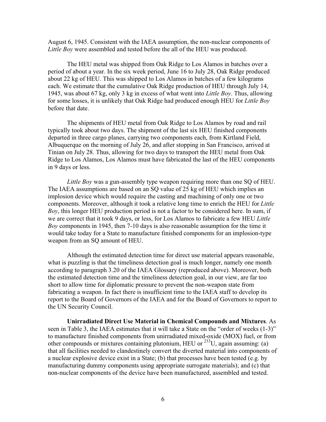August 6, 1945. Consistent with the IAEA assumption, the non-nuclear components of *Little Boy* were assembled and tested before the all of the HEU was produced.

The HEU metal was shipped from Oak Ridge to Los Alamos in batches over a period of about a year. In the six week period, June 16 to July 28, Oak Ridge produced about 22 kg of HEU. This was shipped to Los Alamos in batches of a few kilograms each. We estimate that the cumulative Oak Ridge production of HEU through July 14, 1945, was about 67 kg, only 3 kg in excess of what went into *Little Boy*. Thus, allowing for some losses, it is unlikely that Oak Ridge had produced enough HEU for *Little Boy* before that date.

The shipments of HEU metal from Oak Ridge to Los Alamos by road and rail typically took about two days. The shipment of the last six HEU finished components departed in three cargo planes, carrying two components each, from Kirtland Field, Albuquerque on the morning of July 26, and after stopping in San Francisco, arrived at Tinian on July 28. Thus, allowing for two days to transport the HEU metal from Oak Ridge to Los Alamos, Los Alamos must have fabricated the last of the HEU components in 9 days or less.

*Little Boy* was a gun-assembly type weapon requiring more than one SQ of HEU. The IAEA assumptions are based on an SQ value of 25 kg of HEU which implies an implosion device which would require the casting and machining of only one or two components. Moreover, although it took a relative long time to enrich the HEU for *Little Boy*, this longer HEU production period is not a factor to be considered here. In sum, if we are correct that it took 9 days, or less, for Los Alamos to fabricate a few HEU *Little Boy* components in 1945, then 7-10 days is also reasonable assumption for the time it would take today for a State to manufacture finished components for an implosion-type weapon from an SQ amount of HEU.

Although the estimated detection time for direct use material appears reasonable, what is puzzling is that the timeliness detection goal is much longer, namely one month according to paragraph 3.20 of the IAEA Glossary (reproduced above). Moreover, both the estimated detection time and the timeliness detection goal, in our view, are far too short to allow time for diplomatic pressure to prevent the non-weapon state from fabricating a weapon. In fact there is insufficient time to the IAEA staff to develop its report to the Board of Governors of the IAEA and for the Board of Governors to report to the UN Security Council.

**Unirradiated Direct Use Material in Chemical Compounds and Mixtures**. As seen in Table 3, the IAEA estimates that it will take a State on the "order of weeks (1-3)" to manufacture finished components from unirradiated mixed-oxide (MOX) fuel, or from other compounds or mixtures containing plutonium, HEU or  $^{233}$ U, again assuming: (a) that all facilities needed to clandestinely convert the diverted material into components of a nuclear explosive device exist in a State; (b) that processes have been tested (e.g. by manufacturing dummy components using appropriate surrogate materials); and (c) that non-nuclear components of the device have been manufactured, assembled and tested.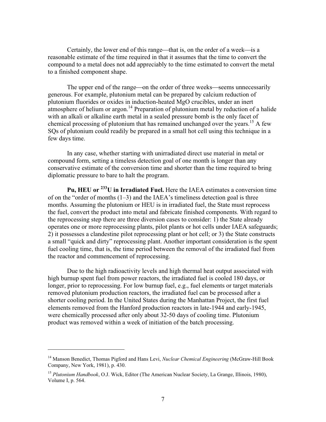Certainly, the lower end of this range—that is, on the order of a week—is a reasonable estimate of the time required in that it assumes that the time to convert the compound to a metal does not add appreciably to the time estimated to convert the metal to a finished component shape.

The upper end of the range—on the order of three weeks—seems unnecessarily generous. For example, plutonium metal can be prepared by calcium reduction of plutonium fluorides or oxides in induction-heated MgO crucibles, under an inert atmosphere of helium or argon.<sup>14</sup> Preparation of plutonium metal by reduction of a halide with an alkali or alkaline earth metal in a sealed pressure bomb is the only facet of chemical processing of plutonium that has remained unchanged over the years.<sup>15</sup> A few SQs of plutonium could readily be prepared in a small hot cell using this technique in a few days time.

In any case, whether starting with unirradiated direct use material in metal or compound form, setting a timeless detection goal of one month is longer than any conservative estimate of the conversion time and shorter than the time required to bring diplomatic pressure to bare to halt the program.

Pu, HEU or <sup>233</sup>U in Irradiated Fuel. Here the IAEA estimates a conversion time of on the "order of months (1–3) and the IAEA's timeliness detection goal is three months. Assuming the plutonium or HEU is in irradiated fuel, the State must reprocess the fuel, convert the product into metal and fabricate finished components. With regard to the reprocessing step there are three diversion cases to consider: 1) the State already operates one or more reprocessing plants, pilot plants or hot cells under IAEA safeguards; 2) it possesses a clandestine pilot reprocessing plant or hot cell; or 3) the State constructs a small "quick and dirty" reprocessing plant. Another important consideration is the spent fuel cooling time, that is, the time period between the removal of the irradiated fuel from the reactor and commencement of reprocessing.

Due to the high radioactivity levels and high thermal heat output associated with high burnup spent fuel from power reactors, the irradiated fuel is cooled 180 days, or longer, prior to reprocessing. For low burnup fuel, e.g., fuel elements or target materials removed plutonium production reactors, the irradiated fuel can be processed after a shorter cooling period. In the United States during the Manhattan Project, the first fuel elements removed from the Hanford production reactors in late-1944 and early-1945, were chemically processed after only about 32-50 days of cooling time. Plutonium product was removed within a week of initiation of the batch processing.

<sup>&</sup>lt;sup>14</sup> Manson Benedict, Thomas Pigford and Hans Levi, *Nuclear Chemical Engineering* (McGraw-Hill Book Company, New York, 1981), p. 430.

<sup>15</sup> *Plutonium Handbook*, O.J. Wick, Editor (The American Nuclear Society, La Grange, Illinois, 1980), Volume I, p. 564.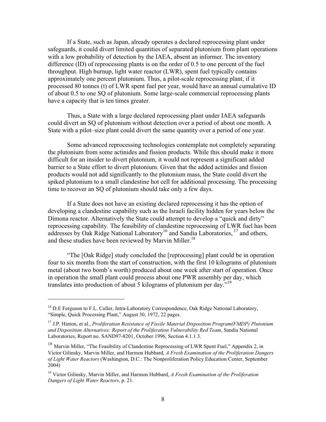If a State, such as Japan, already operates a declared reprocessing plant under safeguards, it could divert limited quantities of separated plutonium from plant operations with a low probability of detection by the IAEA, absent an informer. The inventory difference (ID) of reprocessing plants is on the order of 0.5 to one percent of the fuel throughput. High burnup, light water reactor (LWR), spent fuel typically contains approximately one percent plutonium. Thus, a pilot-scale reprocessing plant, if it processed 80 tonnes (t) of LWR spent fuel per year, would have an annual cumulative ID of about 0.5 to one SQ of plutonium. Some large-scale commercial reprocessing plants have a capacity that is ten times greater.

Thus, a State with a large declared reprocessing plant under IAEA safeguards could divert an SQ of plutonium without detection over a period of about one month. A State with a pilot–size plant could divert the same quantity over a period of one year.

Some advanced reprocessing technologies contemplate not completely separating the plutonium from some actinides and fission products. While this should make it more difficult for an insider to divert plutonium, it would not represent a significant added barrier to a State effort to divert plutonium. Given that the added actinides and fission products would not add significantly to the plutonium mass, the State could divert the spiked plutonium to a small clandestine hot cell for additional processing. The processing time to recover an SQ of plutonium should take only a few days.

If a State does not have an existing declared reprocessing it has the option of developing a clandestine capability such as the Israeli facility hidden for years below the Dimona reactor. Alternatively the State could attempt to develop a "quick and dirty" reprocessing capability. The feasibility of clandestine reprocessing of LWR fuel has been addresses by Oak Ridge National Laboratory<sup>16</sup> and Sandia Laboratories, <sup>17</sup> and others, and these studies have been reviewed by Marvin Miller.<sup>18</sup>

"The [Oak Ridge] study concluded the [reprocessing] plant could be in operation four to six months from the start of construction, with the first 10 kilograms of plutonium metal (about two bomb's worth) produced about one week after start of operation. Once in operation the small plant could process about one PWR assembly per day, which translates into production of about 5 kilograms of plutonium per day."<sup>19</sup>

 $16$  D.E Ferguson to F.L. Culler, Intra-Laboratory Correspondence, Oak Ridge National Laboratory, "Simple, Quick Processing Plant," August 30, 1972, 22 pages.

<sup>17</sup> J.P. Hinton, et al., *Proliferation Resistance of Fissile Material Disposition Program(FMDP) Plutonium and Disposition Alternatives: Report of the Proliferation Vulnerability Red Team*, Sandia National Laboratories, Report no. SAND97-8201, October 1996, Section 4.1.1.3.

<sup>&</sup>lt;sup>18</sup> Marvin Miller, "The Feasibility of Clandestine Reprocessing of LWR Spent Fuel," Appendix 2, in Victor Gilinsky, Marvin Miller, and Harmon Hubbard, *A Fresh Examination of the Proliferation Dangers of Light Water Reactors* (Washington, D.C.: The Nonproliferation Policy Education Center, September 2004)

<sup>19</sup> Victor Gilinsky, Marvin Miller, and Harmon Hubbard, *A Fresh Examination of the Proliferation Dangers of Light Water Reactors*, p. 21.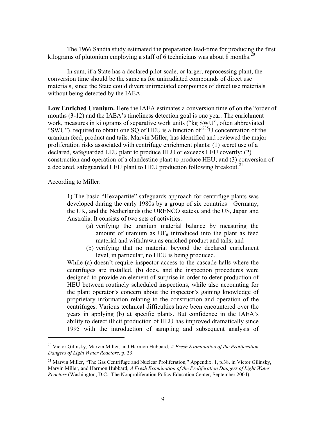The 1966 Sandia study estimated the preparation lead-time for producing the first kilograms of plutonium employing a staff of 6 technicians was about 8 months.<sup>20</sup>

In sum, if a State has a declared pilot-scale, or larger, reprocessing plant, the conversion time should be the same as for unirradiated compounds of direct use materials, since the State could divert unirradiated compounds of direct use materials without being detected by the IAEA.

**Low Enriched Uranium.** Here the IAEA estimates a conversion time of on the "order of months (3-12) and the IAEA's timeliness detection goal is one year. The enrichment work, measures in kilograms of separative work units ("kg SWU", often abbreviated "SWU"), required to obtain one SQ of HEU is a function of  $^{235}$ U concentration of the uranium feed, product and tails. Marvin Miller, has identified and reviewed the major proliferation risks associated with centrifuge enrichment plants: (1) secret use of a declared, safeguarded LEU plant to produce HEU or exceeds LEU covertly; (2) construction and operation of a clandestine plant to produce HEU; and (3) conversion of a declared, safeguarded LEU plant to HEU production following breakout.<sup>21</sup>

According to Miller:

 $\overline{a}$ 

1) The basic "Hexapartite" safeguards approach for centrifuge plants was developed during the early 1980s by a group of six countries—Germany, the UK, and the Netherlands (the URENCO states), and the US, Japan and Australia. It consists of two sets of activities:

- (a) verifying the uranium material balance by measuring the amount of uranium as  $UF_6$  introduced into the plant as feed material and withdrawn as enriched product and tails; and
- (b) verifying that no material beyond the declared enrichment level, in particular, no HEU is being produced.

While (a) doesn't require inspector access to the cascade halls where the centrifuges are installed, (b) does, and the inspection procedures were designed to provide an element of surprise in order to deter production of HEU between routinely scheduled inspections, while also accounting for the plant operator's concern about the inspector's gaining knowledge of proprietary information relating to the construction and operation of the centrifuges. Various technical difficulties have been encountered over the years in applying (b) at specific plants. But confidence in the IAEA's ability to detect illicit production of HEU has improved dramatically since 1995 with the introduction of sampling and subsequent analysis of

<sup>20</sup> Victor Gilinsky, Marvin Miller, and Harmon Hubbard, *A Fresh Examination of the Proliferation Dangers of Light Water Reactors*, p. 23.

<sup>&</sup>lt;sup>21</sup> Marvin Miller, "The Gas Centrifuge and Nuclear Proliferation," Appendix. 1, p.38. in Victor Gilinsky, Marvin Miller, and Harmon Hubbard, *A Fresh Examination of the Proliferation Dangers of Light Water Reactors* (Washington, D.C.: The Nonproliferation Policy Education Center, September 2004).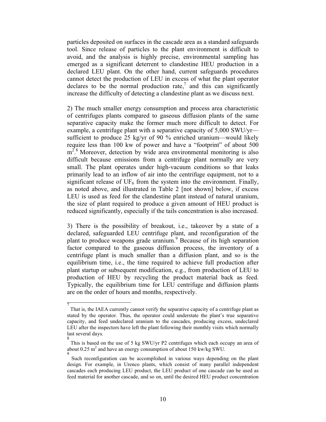particles deposited on surfaces in the cascade area as a standard safeguards tool. Since release of particles to the plant environment is difficult to avoid, and the analysis is highly precise, environmental sampling has emerged as a significant deterrent to clandestine HEU production in a declared LEU plant. On the other hand, current safeguards procedures cannot detect the production of LEU in excess of what the plant operator declares to be the normal production rate,<sup>7</sup> and this can significantly increase the difficulty of detecting a clandestine plant as we discuss next.

2) The much smaller energy consumption and process area characteristic of centrifuges plants compared to gaseous diffusion plants of the same separative capacity make the former much more difficult to detect. For example, a centrifuge plant with a separative capacity of 5,000 SWU/yr sufficient to produce 25 kg/yr of 90 % enriched uranium—would likely require less than 100 kw of power and have a "footprint" of about 500  $m<sup>2</sup>$ <sup>8</sup> Moreover, detection by wide area environmental monitoring is also difficult because emissions from a centrifuge plant normally are very small. The plant operates under high-vacuum conditions so that leaks primarily lead to an inflow of air into the centrifuge equipment, not to a significant release of  $UF_6$  from the system into the environment. Finally, as noted above, and illustrated in Table 2 [not shown] below, if excess LEU is used as feed for the clandestine plant instead of natural uranium, the size of plant required to produce a given amount of HEU product is reduced significantly, especially if the tails concentration is also increased.

3) There is the possibility of breakout, i.e., takeover by a state of a declared, safeguarded LEU centrifuge plant, and reconfiguration of the plant to produce weapons grade uranium.<sup>9</sup> Because of its high separation factor compared to the gaseous diffusion process, the inventory of a centrifuge plant is much smaller than a diffusion plant, and so is the equilibrium time, i.e., the time required to achieve full production after plant startup or subsequent modification, e.g., from production of LEU to production of HEU by recycling the product material back as feed. Typically, the equilibrium time for LEU centrifuge and diffusion plants are on the order of hours and months, respectively.

 $\overline{\phantom{a}}$  , and the set of the set of the set of the set of the set of the set of the set of the set of the set of the set of the set of the set of the set of the set of the set of the set of the set of the set of the s

<sup>7</sup>  That is, the IAEA currently cannot verify the separative capacity of a centrifuge plant as stated by the operator. Thus, the operator could understate the plant's true separative capacity, and feed undeclared uranium to the cascades, producing excess, undeclared LEU after the inspectors have left the plant following their monthly visits which normally last several days. 8

This is based on the use of 5 kg SWU/yr P2 centrifuges which each occupy an area of about 0.25 m<sup>2</sup> and have an energy consumption of about 150 kw/kg SWU. 9

Such reconfiguration can be accomplished in various ways depending on the plant design. For example, in Urenco plants, which consist of many parallel independent cascades each producing LEU product, the LEU product of one cascade can be used as feed material for another cascade, and so on, until the desired HEU product concentration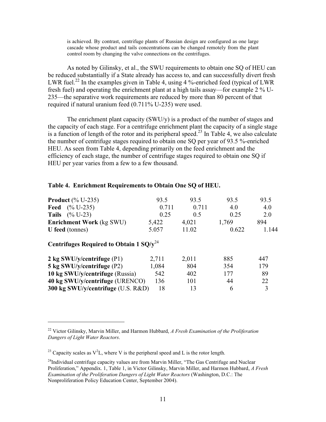is achieved. By contrast, centrifuge plants of Russian design are configured as one large cascade whose product and tails concentrations can be changed remotely from the plant control room by changing the valve connections on the centrifuges.

As noted by Gilinsky, et al., the SWU requirements to obtain one SQ of HEU can be reduced substantially if a State already has access to, and can successfully divert fresh LWR fuel.<sup>22</sup> In the examples given in Table 4, using 4 %-enriched feed (typical of LWR) fresh fuel) and operating the enrichment plant at a high tails assay—for example 2 % U-235—the separative work requirements are reduced by more than 80 percent of that required if natural uranium feed (0.711% U-235) were used.

The enrichment plant capacity  $(SWU/y)$  is a product of the number of stages and the capacity of each stage. For a centrifuge enrichment plant the capacity of a single stage is a function of length of the rotor and its peripheral speed.<sup>23</sup> In Table 4, we also calculate the number of centrifuge stages required to obtain one SQ per year of 93.5 %-enriched HEU. As seen from Table 4, depending primarily on the feed enrichment and the efficiency of each stage, the number of centrifuge stages required to obtain one SQ if HEU per year varies from a few to a few thousand.

| <b>Product</b> $(\% U-235)$                  | 93.5  | 93.5  | 93.5  | 93.5  |
|----------------------------------------------|-------|-------|-------|-------|
| <b>Feed</b> $(\% U-235)$                     | 0.711 | 0.711 | 4.0   | 4.0   |
| $(\% U-23)$<br><b>Tails</b>                  | 0.25  | 0.5   | 0.25  | 2.0   |
| Enrichment Work (kg SWU)                     | 5,422 | 4,021 | 1,769 | 894   |
| <b>U</b> feed (tonnes)                       | 5.057 | 11.02 | 0.622 | 1.144 |
| Centrifuges Required to Obtain 1 $SQ/y^{24}$ |       |       |       |       |
| 2 kg SWU/y/centrifuge $(P1)$                 | 2,711 | 2,011 | 885   | 447   |
| 5 kg SWU/y/centrifuge (P2)                   | 1,084 | 804   | 354   | 179   |
| 10 kg SWU/y/centrifuge (Russia)              | 542   | 402   | 177   | 89    |
| 40 kg SWU/y/centrifuge (URENCO)              | 136   | 101   | 44    | 22    |
| 300 kg SWU/y/centrifuge (U.S. R&D)           | 18    | 13    | 6     | 3     |

#### **Table 4. Enrichment Requirements to Obtain One SQ of HEU.**

<sup>22</sup> Victor Gilinsky, Marvin Miller, and Harmon Hubbard, *A Fresh Examination of the Proliferation Dangers of Light Water Reactors*.

<sup>&</sup>lt;sup>23</sup> Capacity scales as  $V^2L$ , where V is the peripheral speed and L is the rotor length.

 $24$ Individual centrifuge capacity values are from Marvin Miller, "The Gas Centrifuge and Nuclear Proliferation," Appendix. 1, Table 1, in Victor Gilinsky, Marvin Miller, and Harmon Hubbard, *A Fresh Examination of the Proliferation Dangers of Light Water Reactors* (Washington, D.C.: The Nonproliferation Policy Education Center, September 2004).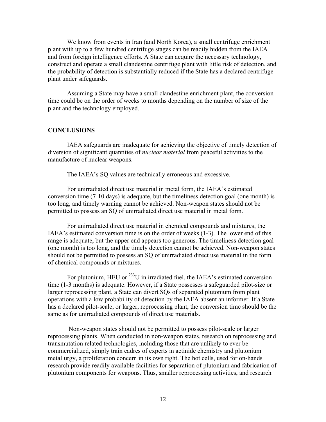We know from events in Iran (and North Korea), a small centrifuge enrichment plant with up to a few hundred centrifuge stages can be readily hidden from the IAEA and from foreign intelligence efforts. A State can acquire the necessary technology, construct and operate a small clandestine centrifuge plant with little risk of detection, and the probability of detection is substantially reduced if the State has a declared centrifuge plant under safeguards.

Assuming a State may have a small clandestine enrichment plant, the conversion time could be on the order of weeks to months depending on the number of size of the plant and the technology employed.

#### **CONCLUSIONS**

IAEA safeguards are inadequate for achieving the objective of timely detection of diversion of significant quantities of *nuclear material* from peaceful activities to the manufacture of nuclear weapons.

The IAEA's SQ values are technically erroneous and excessive.

For unirradiated direct use material in metal form, the IAEA's estimated conversion time (7-10 days) is adequate, but the timeliness detection goal (one month) is too long, and timely warning cannot be achieved. Non-weapon states should not be permitted to possess an SQ of unirradiated direct use material in metal form.

For unirradiated direct use material in chemical compounds and mixtures, the IAEA's estimated conversion time is on the order of weeks (1-3). The lower end of this range is adequate, but the upper end appears too generous. The timeliness detection goal (one month) is too long, and the timely detection cannot be achieved. Non-weapon states should not be permitted to possess an SQ of unirradiated direct use material in the form of chemical compounds or mixtures.

For plutonium, HEU or  $^{233}$ U in irradiated fuel, the IAEA's estimated conversion time (1-3 months) is adequate. However, if a State possesses a safeguarded pilot-size or larger reprocessing plant, a State can divert SQs of separated plutonium from plant operations with a low probability of detection by the IAEA absent an informer. If a State has a declared pilot-scale, or larger, reprocessing plant, the conversion time should be the same as for unirradiated compounds of direct use materials.

Non-weapon states should not be permitted to possess pilot-scale or larger reprocessing plants. When conducted in non-weapon states, research on reprocessing and transmutation related technologies, including those that are unlikely to ever be commercialized, simply train cadres of experts in actinide chemistry and plutonium metallurgy, a proliferation concern in its own right. The hot cells, used for on-hands research provide readily available facilities for separation of plutonium and fabrication of plutonium components for weapons. Thus, smaller reprocessing activities, and research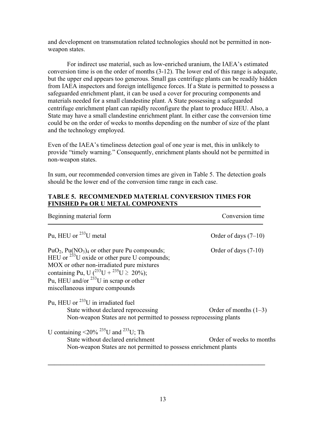and development on transmutation related technologies should not be permitted in nonweapon states.

For indirect use material, such as low-enriched uranium, the IAEA's estimated conversion time is on the order of months (3-12). The lower end of this range is adequate, but the upper end appears too generous. Small gas centrifuge plants can be readily hidden from IAEA inspectors and foreign intelligence forces. If a State is permitted to possess a safeguarded enrichment plant, it can be used a cover for procuring components and materials needed for a small clandestine plant. A State possessing a safeguarded centrifuge enrichment plant can rapidly reconfigure the plant to produce HEU. Also, a State may have a small clandestine enrichment plant. In either case the conversion time could be on the order of weeks to months depending on the number of size of the plant and the technology employed.

Even of the IAEA's timeliness detection goal of one year is met, this in unlikely to provide "timely warning." Consequently, enrichment plants should not be permitted in non-weapon states.

In sum, our recommended conversion times are given in Table 5. The detection goals should be the lower end of the conversion time range in each case.

| Beginning material form                                                                                                                                                                                                                                                                       | Conversion time          |  |
|-----------------------------------------------------------------------------------------------------------------------------------------------------------------------------------------------------------------------------------------------------------------------------------------------|--------------------------|--|
| Pu, HEU or $^{233}$ U metal                                                                                                                                                                                                                                                                   | Order of days $(7-10)$   |  |
| $PuO2$ , $Pu(NO3)4$ or other pure Pu compounds;<br>HEU or $^{233}$ U oxide or other pure U compounds;<br>MOX or other non-irradiated pure mixtures<br>containing Pu, U $(^{233}$ U + $^{235}$ U $\geq$ 20%);<br>Pu, HEU and/or $^{233}$ U in scrap or other<br>miscellaneous impure compounds | Order of days (7-10)     |  |
| Pu, HEU or $^{233}$ U in irradiated fuel                                                                                                                                                                                                                                                      |                          |  |
| State without declared reprocessing<br>Non-weapon States are not permitted to possess reprocessing plants                                                                                                                                                                                     | Order of months $(1-3)$  |  |
| U containing $\langle 20\% \rangle^{235}$ U and $^{233}$ U; Th                                                                                                                                                                                                                                |                          |  |
| State without declared enrichment<br>Non-weapon States are not permitted to possess enrichment plants                                                                                                                                                                                         | Order of weeks to months |  |
|                                                                                                                                                                                                                                                                                               |                          |  |

## **TABLE 5. RECOMMENDED MATERIAL CONVERSION TIMES FOR** FINISHED Pu OR U METAL COMPONENTS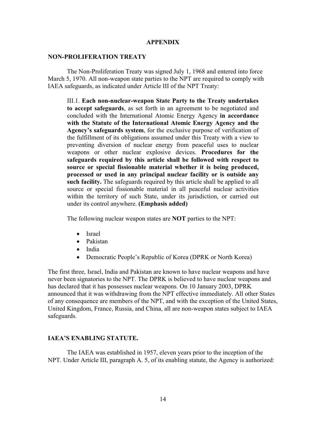#### **APPENDIX**

#### **NON-PROLIFERATION TREATY**

The Non-Proliferation Treaty was signed July 1, 1968 and entered into force March 5, 1970. All non-weapon state parties to the NPT are required to comply with IAEA safeguards, as indicated under Article III of the NPT Treaty:

III.1. **Each non-nuclear-weapon State Party to the Treaty undertakes to accept safeguards**, as set forth in an agreement to be negotiated and concluded with the International Atomic Energy Agency **in accordance with the Statute of the International Atomic Energy Agency and the Agency's safeguards system**, for the exclusive purpose of verification of the fulfillment of its obligations assumed under this Treaty with a view to preventing diversion of nuclear energy from peaceful uses to nuclear weapons or other nuclear explosive devices. **Procedures for the safeguards required by this article shall be followed with respect to source or special fissionable material whether it is being produced, processed or used in any principal nuclear facility or is outside any such facility.** The safeguards required by this article shall be applied to all source or special fissionable material in all peaceful nuclear activities within the territory of such State, under its jurisdiction, or carried out under its control anywhere. **(Emphasis added)**

The following nuclear weapon states are **NOT** parties to the NPT:

- Israel
- Pakistan
- $\bullet$  India
- Democratic People's Republic of Korea (DPRK or North Korea)

The first three, Israel, India and Pakistan are known to have nuclear weapons and have never been signatories to the NPT. The DPRK is believed to have nuclear weapons and has declared that it has possesses nuclear weapons. On 10 January 2003, DPRK announced that it was withdrawing from the NPT effective immediately. All other States of any consequence are members of the NPT, and with the exception of the United States, United Kingdom, France, Russia, and China, all are non-weapon states subject to IAEA safeguards.

#### **IAEA'S ENABLING STATUTE.**

The IAEA was established in 1957, eleven years prior to the inception of the NPT. Under Article III, paragraph A. 5, of its enabling statute, the Agency is authorized: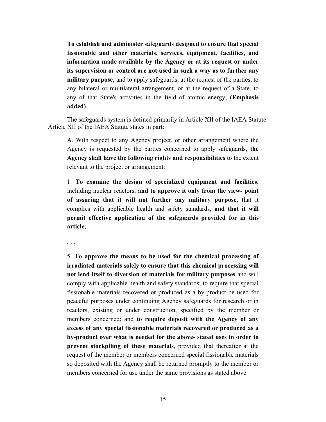**To establish and administer safeguards designed to ensure that special fissionable and other materials, services, equipment, facilities, and information made available by the Agency or at its request or under its supervision or control are not used in such a way as to further any military purpose**; and to apply safeguards, at the request of the parties, to any bilateral or multilateral arrangement, or at the request of a State, to any of that State's activities in the field of atomic energy; **(Emphasis added)**

The safeguards system is defined primarily in Article XII of the IAEA Statute. Article XII of the IAEA Statute states in part:

A. With respect to any Agency project, or other arrangement where the Agency is requested by the parties concerned to apply safeguards, **the Agency shall have the following rights and responsibilities** to the extent relevant to the project or arrangement:

1. **To examine the design of specialized equipment and facilities**, including nuclear reactors, **and to approve it only from the view- point of assuring that it will not further any military purpose**, that it complies with applicable health and safety standards, **and that it will permit effective application of the safeguards provided for in this article**;

**. . .** 

5. **To approve the means to be used for the chemical processing of irradiated materials solely to ensure that this chemical processing will not lend itself to diversion of materials for military purposes** and will comply with applicable health and safety standards; to require that special fissionable materials recovered or produced as a by-product be used for peaceful purposes under continuing Agency safeguards for research or in reactors, existing or under construction, specified by the member or members concerned; and **to require deposit with the Agency of any excess of any special fissionable materials recovered or produced as a by-product over what is needed for the above- stated uses in order to prevent stockpiling of these materials**, provided that thereafter at the request of the member or members concerned special fissionable materials so deposited with the Agency shall be returned promptly to the member or members concerned for use under the same provisions as stated above.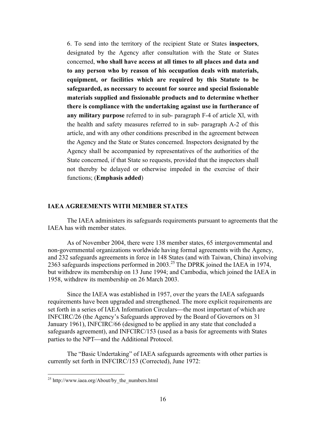6. To send into the territory of the recipient State or States **inspectors**, designated by the Agency after consultation with the State or States concerned, **who shall have access at all times to all places and data and to any person who by reason of his occupation deals with materials, equipment, or facilities which are required by this Statute to be safeguarded, as necessary to account for source and special fissionable materials supplied and fissionable products and to determine whether there is compliance with the undertaking against use in furtherance of any military purpose** referred to in sub- paragraph F-4 of article Xl, with the health and safety measures referred to in sub- paragraph A-2 of this article, and with any other conditions prescribed in the agreement between the Agency and the State or States concerned. Inspectors designated by the Agency shall be accompanied by representatives of the authorities of the State concerned, if that State so requests, provided that the inspectors shall not thereby be delayed or otherwise impeded in the exercise of their functions; (**Emphasis added**)

#### **IAEA AGREEMENTS WITH MEMBER STATES**

The IAEA administers its safeguards requirements pursuant to agreements that the IAEA has with member states.

As of November 2004, there were 138 member states, 65 intergovernmental and non-governmental organizations worldwide having formal agreements with the Agency, and 232 safeguards agreements in force in 148 States (and with Taiwan, China) involving 2363 safeguards inspections performed in 2003.<sup>25</sup> The DPRK joined the IAEA in 1974, but withdrew its membership on 13 June 1994; and Cambodia, which joined the IAEA in 1958, withdrew its membership on 26 March 2003.

Since the IAEA was established in 1957, over the years the IAEA safeguards requirements have been upgraded and strengthened. The more explicit requirements are set forth in a series of IAEA Information Circulars—the most important of which are INFCIRC/26 (the Agency's Safeguards approved by the Board of Governors on 31 January 1961), INFCIRC/66 (designed to be applied in any state that concluded a safeguards agreement), and INFCIRC/153 (used as a basis for agreements with States parties to the NPT—and the Additional Protocol.

The "Basic Undertaking" of IAEA safeguards agreements with other parties is currently set forth in INFCIRC/153 (Corrected), June 1972:

<sup>&</sup>lt;sup>25</sup> http://www.iaea.org/About/by the numbers.html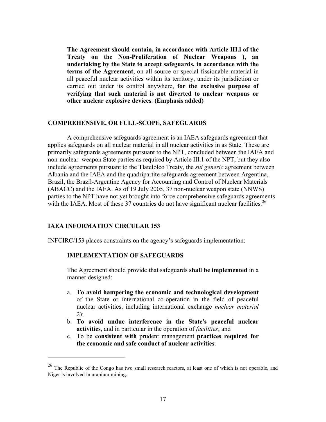**The Agreement should contain, in accordance with Article III.l of the Treaty on the Non-Proliferation of Nuclear Weapons ), an undertaking by the State to accept safeguards, in accordance with the terms of the Agreement**, on all source or special fissionable material in all peaceful nuclear activities within its territory, under its jurisdiction or carried out under its control anywhere, **for the exclusive purpose of verifying that such material is not diverted to nuclear weapons or other nuclear explosive devices**. **(Emphasis added)**

#### **COMPREHENSIVE, OR FULL-SCOPE, SAFEGUARDS**

A comprehensive safeguards agreement is an IAEA safeguards agreement that applies safeguards on all nuclear material in all nuclear activities in as State. These are primarily safeguards agreements pursuant to the NPT, concluded between the IAEA and non-nuclear–weapon State parties as required by Article III.1 of the NPT, but they also include agreements pursuant to the Tlatelolco Treaty, the *sui generic* agreement between Albania and the IAEA and the quadripartite safeguards agreement between Argentina, Brazil, the Brazil-Argentine Agency for Accounting and Control of Nuclear Materials (ABACC) and the IAEA. As of 19 July 2005, 37 non-nuclear weapon state (NNWS) parties to the NPT have not yet brought into force comprehensive safeguards agreements with the IAEA. Most of these 37 countries do not have significant nuclear facilities.<sup>26</sup>

## **IAEA INFORMATION CIRCULAR 153**

 $\overline{a}$ 

INFCIRC/153 places constraints on the agency's safeguards implementation:

#### **IMPLEMENTATION OF SAFEGUARDS**

The Agreement should provide that safeguards **shall be implemented** in a manner designed:

- a. **To avoid hampering the economic and technological development** of the State or international co-operation in the field of peaceful nuclear activities, including international exchange *nuclear material*  $2)$ ;
- b. **To avoid undue interference in the State's peaceful nuclear activities**, and in particular in the operation of *facilities*; and
- c. To be **consistent with** prudent management **practices required for the economic and safe conduct of nuclear activities**.

<sup>&</sup>lt;sup>26</sup> The Republic of the Congo has two small research reactors, at least one of which is not operable, and Niger is involved in uranium mining.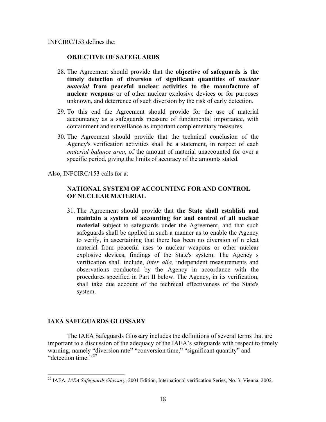## **OBJECTIVE OF SAFEGUARDS**

- 28. The Agreement should provide that the **objective of safeguards is the timely detection of diversion of significant quantities of** *nuclear material* **from peaceful nuclear activities to the manufacture of nuclear weapons** or of other nuclear explosive devices or for purposes unknown, and deterrence of such diversion by the risk of early detection.
- 29. To this end the Agreement should provide for the use of material accountancy as a safeguards measure of fundamental importance, with containment and surveillance as important complementary measures.
- 30. The Agreement should provide that the technical conclusion of the Agency's verification activities shall be a statement, in respect of each *material balance area*, of the amount of material unaccounted for over a specific period, giving the limits of accuracy of the amounts stated.

Also, INFCIRC/153 calls for a:

## **NATIONAL SYSTEM OF ACCOUNTING FOR AND CONTROL OF NUCLEAR MATERIAL**

31. The Agreement should provide that **the State shall establish and maintain a system of accounting for and control of all nuclear material** subject to safeguards under the Agreement, and that such safeguards shall be applied in such a manner as to enable the Agency to verify, in ascertaining that there has been no diversion of n cleat material from peaceful uses to nuclear weapons or other nuclear explosive devices, findings of the State's system. The Agency s verification shall include, *inter alia*, independent measurements and observations conducted by the Agency in accordance with the procedures specified in Part II below. The Agency, in its verification, shall take due account of the technical effectiveness of the State's system.

## **IAEA SAFEGUARDS GLOSSARY**

 $\overline{a}$ 

The IAEA Safeguards Glossary includes the definitions of several terms that are important to a discussion of the adequacy of the IAEA's safeguards with respect to timely warning, namely "diversion rate" "conversion time," "significant quantity" and "detection time:"<sup>27</sup>

<sup>27</sup> IAEA, *IAEA Safeguards Glossary*, 2001 Edition, International verification Series, No. 3, Vienna, 2002.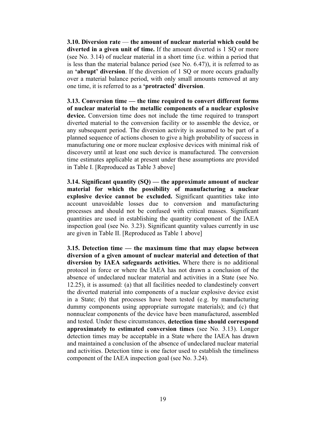**3.10. Diversion rate** — **the amount of nuclear material which could be diverted in a given unit of time.** If the amount diverted is 1 SQ or more (see No. 3.14) of nuclear material in a short time (i.e. within a period that is less than the material balance period (see No. 6.47)), it is referred to as an **'abrupt' diversion**. If the diversion of 1 SQ or more occurs gradually over a material balance period, with only small amounts removed at any one time, it is referred to as a **'protracted' diversion**.

**3.13. Conversion time — the time required to convert different forms of nuclear material to the metallic components of a nuclear explosive device.** Conversion time does not include the time required to transport diverted material to the conversion facility or to assemble the device, or any subsequent period. The diversion activity is assumed to be part of a planned sequence of actions chosen to give a high probability of success in manufacturing one or more nuclear explosive devices with minimal risk of discovery until at least one such device is manufactured. The conversion time estimates applicable at present under these assumptions are provided in Table I. [Reproduced as Table 3 above]

**3.14. Significant quantity (SQ) — the approximate amount of nuclear material for which the possibility of manufacturing a nuclear explosive device cannot be excluded.** Significant quantities take into account unavoidable losses due to conversion and manufacturing processes and should not be confused with critical masses. Significant quantities are used in establishing the quantity component of the IAEA inspection goal (see No. 3.23). Significant quantity values currently in use are given in Table II. [Reproduced as Table 1 above]

**3.15. Detection time — the maximum time that may elapse between diversion of a given amount of nuclear material and detection of that diversion by IAEA safeguards activities.** Where there is no additional protocol in force or where the IAEA has not drawn a conclusion of the absence of undeclared nuclear material and activities in a State (see No. 12.25), it is assumed: (a) that all facilities needed to clandestinely convert the diverted material into components of a nuclear explosive device exist in a State; (b) that processes have been tested (e.g. by manufacturing dummy components using appropriate surrogate materials); and (c) that nonnuclear components of the device have been manufactured, assembled and tested. Under these circumstances, **detection time should correspond approximately to estimated conversion times** (see No. 3.13). Longer detection times may be acceptable in a State where the IAEA has drawn and maintained a conclusion of the absence of undeclared nuclear material and activities. Detection time is one factor used to establish the timeliness component of the IAEA inspection goal (see No. 3.24).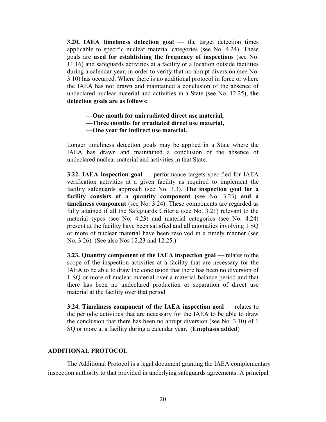**3.20. IAEA timeliness detection goal** — the target detection times applicable to specific nuclear material categories (see No. 4.24). These goals are **used for establishing the frequency of inspections** (see No. 11.16) and safeguards activities at a facility or a location outside facilities during a calendar year, in order to verify that no abrupt diversion (see No. 3.10) has occurred. Where there is no additional protocol in force or where the IAEA has not drawn and maintained a conclusion of the absence of undeclared nuclear material and activities in a State (see No. 12.25), **the detection goals are as follows:**

**—One month for unirradiated direct use material, —Three months for irradiated direct use material, —One year for indirect use material.**

Longer timeliness detection goals may be applied in a State where the IAEA has drawn and maintained a conclusion of the absence of undeclared nuclear material and activities in that State.

**3.22. IAEA inspection goal** — performance targets specified for IAEA verification activities at a given facility as required to implement the facility safeguards approach (see No. 3.3). **The inspection goal for a facility consists of a quantity component** (see No. 3.23) **and a timeliness component** (see No. 3.24). These components are regarded as fully attained if all the Safeguards Criteria (see No. 3.21) relevant to the material types (see No. 4.23) and material categories (see No. 4.24) present at the facility have been satisfied and all anomalies involving 1 SQ or more of nuclear material have been resolved in a timely manner (see No. 3.26). (See also Nos 12.23 and 12.25.)

**3.23. Quantity component of the IAEA inspection goal** — relates to the scope of the inspection activities at a facility that are necessary for the IAEA to be able to draw the conclusion that there has been no diversion of 1 SQ or more of nuclear material over a material balance period and that there has been no undeclared production or separation of direct use material at the facility over that period.

**3.24. Timeliness component of the IAEA inspection goal** — relates to the periodic activities that are necessary for the IAEA to be able to draw the conclusion that there has been no abrupt diversion (see No. 3.10) of 1 SQ or more at a facility during a calendar year. (**Emphasis added**)

#### **ADDITIONAL PROTOCOL**

The Additional Protocol is a legal document granting the IAEA complementary inspection authority to that provided in underlying safeguards agreements. A principal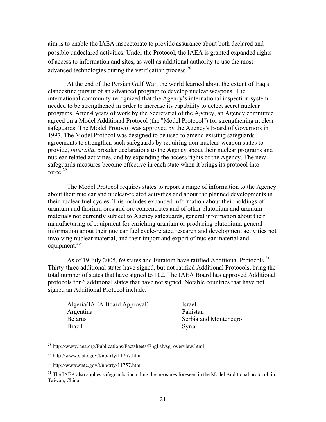aim is to enable the IAEA inspectorate to provide assurance about both declared and possible undeclared activities. Under the Protocol, the IAEA is granted expanded rights of access to information and sites, as well as additional authority to use the most advanced technologies during the verification process. $^{28}$ 

At the end of the Persian Gulf War, the world learned about the extent of Iraq's clandestine pursuit of an advanced program to develop nuclear weapons. The international community recognized that the Agency's international inspection system needed to be strengthened in order to increase its capability to detect secret nuclear programs. After 4 years of work by the Secretariat of the Agency, an Agency committee agreed on a Model Additional Protocol (the "Model Protocol") for strengthening nuclear safeguards. The Model Protocol was approved by the Agency's Board of Governors in 1997. The Model Protocol was designed to be used to amend existing safeguards agreements to strengthen such safeguards by requiring non-nuclear-weapon states to provide, *inter alia*, broader declarations to the Agency about their nuclear programs and nuclear-related activities, and by expanding the access rights of the Agency. The new safeguards measures become effective in each state when it brings its protocol into  $force<sup>29</sup>$ 

The Model Protocol requires states to report a range of information to the Agency about their nuclear and nuclear-related activities and about the planned developments in their nuclear fuel cycles. This includes expanded information about their holdings of uranium and thorium ores and ore concentrates and of other plutonium and uranium materials not currently subject to Agency safeguards, general information about their manufacturing of equipment for enriching uranium or producing plutonium, general information about their nuclear fuel cycle-related research and development activities not involving nuclear material, and their import and export of nuclear material and equipment. $30<sup>30</sup>$ 

As of 19 July 2005, 69 states and Euratom have ratified Additional Protocols.<sup>31</sup> Thirty-three additional states have signed, but not ratified Additional Protocols, bring the total number of states that have signed to 102. The IAEA Board has approved Additional protocols for 6 additional states that have not signed. Notable countries that have not signed an Additional Protocol include:

| Algeria(IAEA Board Approval) | <b>Israel</b>         |
|------------------------------|-----------------------|
| Argentina                    | Pakistan              |
| Belarus                      | Serbia and Montenegro |
| Brazil                       | Svria                 |

<sup>&</sup>lt;sup>28</sup> http://www.iaea.org/Publications/Factsheets/English/sg\_overview.html

 $^{29}$  http://www.state.gov/t/np/trty/11757.htm

<sup>30</sup> http://www.state.gov/t/np/trty/11757.htm

<sup>&</sup>lt;sup>31</sup> The IAEA also applies safeguards, including the measures foreseen in the Model Additional protocol, in Taiwan, China.